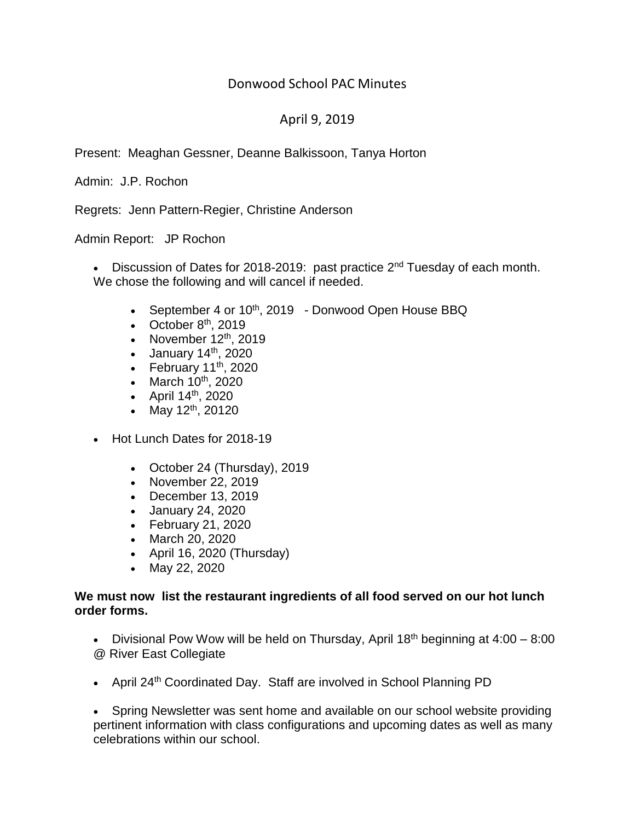## Donwood School PAC Minutes

# April 9, 2019

Present: Meaghan Gessner, Deanne Balkissoon, Tanya Horton

Admin: J.P. Rochon

Regrets: Jenn Pattern-Regier, Christine Anderson

Admin Report: JP Rochon

• Discussion of Dates for 2018-2019: past practice 2<sup>nd</sup> Tuesday of each month. We chose the following and will cancel if needed.

- September 4 or 10<sup>th</sup>, 2019 Donwood Open House BBQ
- October  $8<sup>th</sup>$ , 2019
- November  $12<sup>th</sup>$ , 2019
- January  $14<sup>th</sup>$ , 2020
- February  $11^{th}$ , 2020
- March  $10^{th}$ , 2020
- April  $14^{\text{th}}$ , 2020
- May  $12^{th}$ , 20120
- Hot Lunch Dates for 2018-19
	- October 24 (Thursday), 2019
	- November 22, 2019
	- December 13, 2019
	- January 24, 2020
	- February 21, 2020
	- March 20, 2020
	- April 16, 2020 (Thursday)
	- May 22, 2020

#### **We must now list the restaurant ingredients of all food served on our hot lunch order forms.**

• Divisional Pow Wow will be held on Thursday, April  $18<sup>th</sup>$  beginning at  $4:00 - 8:00$ @ River East Collegiate

• April 24<sup>th</sup> Coordinated Day. Staff are involved in School Planning PD

• Spring Newsletter was sent home and available on our school website providing pertinent information with class configurations and upcoming dates as well as many celebrations within our school.